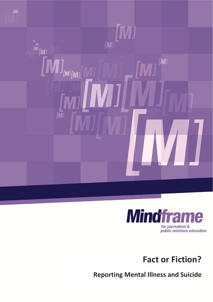



**Fact or Fiction?** 

**Reporting Mental Illness and Suicide**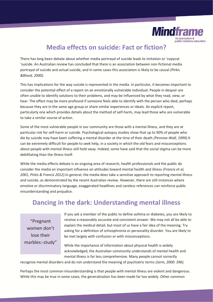

# **Media effects on suicide: Fact or fiction?**

There has long been debate about whether media portrayal of suicide leads to imitation or 'copycat 'suicide. An Australian review has concluded that there is an association between non-fictional media portrayal of suicide and actual suicide, and in some cases this association is likely to be causal *(Pirkis &Blood, 2000).* 

This has implications for the way suicide is represented in the media. In particular, it becomes important to consider the potential effect of a report on an emotionally vulnerable individual. People in despair are often unable to identify solutions to their problems, and may be influenced by what they read, view, or hear. The effect may be more profound if someone feels able to identify with the person who died, perhaps because they are in the same age group or share similar experiences or ideals. An explicit report, particularly one which provides details about the method of self-harm, may lead those who are vulnerable to take a similar course of action.

Some of the most vulnerable people in our community are those with a mental illness, and they are at particular risk for self-harm or suicide. Psychological autopsy studies show that up to 90% of people who die by suicide may have been suffering a mental disorder at the time of their death *(Penrose-Wall, 1999).*It can be extremely difficult for people to seek help, in a society in which the old fears and misconceptions about people with mental illness still hold sway. Indeed, some have said that the social stigma can be more debilitating than the illness itself.

While the media effects debate is an ongoing area of research, health professionals and the public do consider the media an important influence on attitudes toward mental health and illness *(Francis et al, 2001, Pirkis & Francis 2012).*In general, the media does take a sensitive approach to reporting mental illness and suicide, as demonstrated by the recent Australian review. However, there are still instances where emotive or discriminatory language, exaggerated headlines and careless references can reinforce public misunderstanding and prejudice.

## **Dancing in the dark: Understanding mental illness**

"Pregnant women don't lose their marbles:-study"

If you ask a member of the public to define asthma or diabetes, you are likely to receive a reasonably accurate and consistent answer. We may not all be able to explain the medical detail, but most of us have a fair idea of the meaning. Try asking for a definition of schizophrenia or personality disorder. You are likely to be met largely with confusion or with misconceptions.

While the importance of information about physical health is widely acknowledged, the Australian community understands of mental health and mental illness is far less comprehensive. Many people cannot correctly

recognise mental disorders and do not understand the meaning of psychiatric terms *(Jorm, 2000: 396).* 

Perhaps the most common misunderstanding is that people with mental illness are violent and dangerous. While this may be true in some cases, the generalisation has been made far too widely. Other common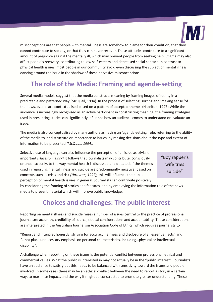

misconceptions are that people with mental illness are somehow to blame for their condition, that they cannot contribute to society, or that they can never recover. These attitudes contribute to a significant amount of prejudice against the mentally ill, which may prevent people from seeking help. Stigma may also affect people's recovery, contributing to low self-esteem and decreased social contact. In contrast to physical health issues, most people in our community avoid even discussing the subject of mental illness, dancing around the issue in the shadow of these pervasive misconceptions.

# **The role of the Media: Framing and agenda-setting**

Several media models suggest that the media constructs meaning by framing images of reality in a predictable and patterned way (McQuail, 1994). In the process of selecting, sorting and 'making sense 'of the news, events are contextualised based on a pattern of accepted themes (Hazelton, 1997).While the audience is increasingly recognised as an active participant in constructing meaning, the framing strategies used in presenting stories can significantly influence how an audience comes to understand or evaluate an issue.

The media is also conceptualised by many authors as having an 'agenda-setting' role, referring to the ability of the media to lend structure or importance to issues, by making decisions about the type and extent of information to be presented *(McQuail, 1994).* 

Selective use of language can also influence the perception of an issue as trivial or important *(Hazelton, 1997).*It follows that journalists may contribute, consciously or unconsciously, to the way mental health is discussed and debated. If the themes used in reporting mental illness and suicide are predominantly negative, based on concepts such as crisis and risk *(Hazelton, 1997),* this will influence the public perception of mental health issues in general. Journalists can contribute positively

"Boy rapper's wife tries suicide"

by considering the framing of stories and features, and by employing the information role of the news media to present material which will improve public knowledge.

# **Choices and challenges: The public interest**

Reporting on mental illness and suicide raises a number of issues central to the practice of professional journalism: accuracy, credibility of source, ethical considerations and accountability. These considerations are interpreted in the Australian Journalism Association Code of Ethics, which requires journalists to

"Report and interpret honestly, striving for accuracy, fairness and disclosure of all essential facts" and "…not place unnecessary emphasis on personal characteristics, including…physical or intellectual disability".

A challenge when reporting on these issues is the potential conflict between professional, ethical and commercial values. What the public is interested in may not actually be in the "public interest". Journalists have an audience to satisfy but this needs to be balanced with sensitivity toward the issues and people involved. In some cases there may be an ethical conflict between the need to report a story in a certain way, to maximise impact, and the way it might be constructed to promote greater understanding. These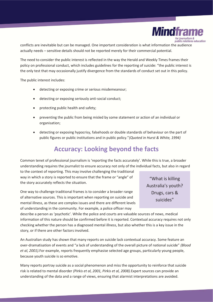

conflicts are inevitable but can be managed. One important consideration is what information the audience actually needs – sensitive details should not be reported merely for their commercial potential.

The need to consider the public interest is reflected in the way the Herald and Weekly Times frames their policy on professional conduct, which includes guidelines for the reporting of suicide: "the public interest is the only test that may occasionally justify divergence from the standards of conduct set out in this policy.

The public interest includes:

- detecting or exposing crime or serious misdemeanour;
- detecting or exposing seriously anti-social conduct;
- protecting public health and safety;
- preventing the public from being misled by some statement or action of an individual or organisation;
- detecting or exposing hypocrisy, falsehoods or double standards of behaviour on the part of public figures or public institutions and in public policy."*(Quoted in Hurst & White, 1994)*

# **Accuracy: Looking beyond the facts**

Common tenet of professional journalism is 'reporting the facts accurately'. While this is true, a broader understanding requires the journalist to ensure accuracy not only of the individual facts, but also in regard

to the context of reporting. This may involve challenging the traditional way in which a story is reported to ensure that the frame or "angle" of the story accurately reflects the situation.

One way to challenge traditional frames is to consider a broader range of alternative sources. This is important when reporting on suicide and mental illness, as these are complex issues and there are different levels of understanding in the community. For example, a police officer may

describe a person as 'psychotic'. While the police and courts are valuable sources of news, medical information of this nature should be confirmed before it is reported. Contextual accuracy requires not only checking whether the person has a diagnosed mental illness, but also whether this is a key issue in the story, or if there are other factors involved.

An Australian study has shown that many reports on suicide lack contextual accuracy. Some feature an over-dramatisation of events and "a lack of understanding of the overall picture of national suicide" *(Blood et al, 2001).*For example, reports frequently emphasise selected age groups, particularly young people, because youth suicide is so emotive.

Many reports portray suicide as a social phenomenon and miss the opportunity to reinforce that suicide risk is related to mental disorder *(Pirkis et al, 2001, Pirkis et al, 2008).*Expert sources can provide an understanding of the data and a range of views, ensuring that alarmist interpretations are avoided.

"What is killing Australia's youth? Drugs, cars & suicides"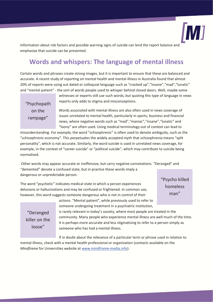

Information about risk factors and possible warning signs of suicide can lend the report balance and emphasise that suicide can be prevented.

# **Words and whispers: The language of mental illness**

Certain words and phrases create strong images, but it is important to ensure that these are balanced and accurate. A recent study of reporting on mental health and mental illness in Australia found that almost 20% of reports were using out dated or colloquial language such as "cracked up","insane","mad","lunatic" and "mental patient" - the sort of words people used to whisper behind closed doors. Well, maybe some

"Psychopath on the rampage"

witnesses or experts still use such words, but quoting this type of language in news reports only adds to stigma and misconceptions.

Words associated with mental illness are also often used in news coverage of issues unrelated to mental health, particularly in sports, business and financial news, where negative words such as "mad","maniac","insane","lunatic" and "loony" are often used. Using medical terminology out of context can lead to

misunderstanding. For example, the word "schizophrenic" is often used to denote ambiguity, such as the "schizophrenic economy". This perpetuates the widely accepted myth that schizophrenia means "split personality", which is not accurate. Similarly, the word suicide is used in unrelated news coverage, for example, in the context of "career suicide" or "political suicide", which may contribute to suicide being normalised.

 Other words may appear accurate or inoffensive, but carry negative connotations. "Deranged" and "demented" denote a confused state, but in practice these words imply a dangerous or unpredictable person.

The word "psychotic" indicates medical state in which a person experiences delusions or hallucinations and may be confused or frightened. In common use, however, this word suggests someone dangerous who is not in control of their

"Psycho killed homeless man"

## "Deranged killer on the loose"

actions. "Mental patient", while previously used to refer to someone undergoing treatment in a psychiatric institution,

is rarely relevant in today's society, where most people are treated in the community. Many people who experience mental illness are well much of the time. It is perhaps more accurate and less stigmatising to refer to a person simply as someone who has had a mental illness.

If in doubt about the relevance of a particular term or phrase used in relation to mental illness, check with a mental health professional or organisation (contacts available on the *Mindframe* for Universities website at www.mindframe-media.info).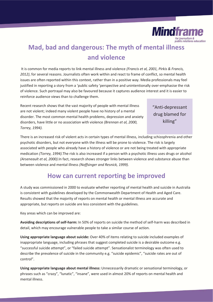

# **Mad, bad and dangerous: The myth of mental illness and violence**

 It is common for media reports to link mental illness and violence *(Francis et al, 2001, Pirkis & Francis, 2012)*, for several reasons. Journalists often work within and react to frame of conflict, so mental health issues are often reported within this context, rather than in a positive way. Media professionals may feel justified in reporting a story from a 'public safety 'perspective and unintentionally over-emphasise the risk of violence. Such portrayal may also be favoured because it captures audience interest and it is easier to reinforce audience views than to challenge them.

Recent research shows that the vast majority of people with mental illness are not violent; indeed many violent people have no history of a mental disorder. The most common mental health problems, depression and anxiety disorders, have little or no association with violence *(Brennan et al, 2000, Torrey, 1994).* 

## "Anti-depressant drug blamed for killing"

There is an increased risk of violent acts in certain types of mental illness, including schizophrenia and other psychotic disorders, but not everyone with the illness will be prone to violence. The risk is largely associated with people who already have a history of violence or are not being treated with appropriate medication *(Torrey, 1994).*The risk is also increased if a person with a psychotic illness uses drugs or alcohol *(Arseneault et al, 2000).*In fact, research shows stronger links between violence and substance abuse than between violence and mental illness *(Noffsinger and Resnick, 1999).* 

## **How can current reporting be improved**

A study was commissioned in 2000 to evaluate whether reporting of mental health and suicide in Australia is consistent with guidelines developed by the Commonwealth Department of Health and Aged Care. Results showed that the majority of reports on mental health or mental illness are accurate and appropriate, but reports on suicide are less consistent with the guidelines.

Key areas which can be improved are:

**Avoiding descriptions of self-harm:** In 50% of reports on suicide the method of self-harm was described in detail, which may encourage vulnerable people to take a similar course of action.

**Using appropriate language about suicide:** Over 40% of items relating to suicide included examples of inappropriate language, including phrases that suggest completed suicide is a desirable outcome e.g. "successful suicide attempt", or "failed suicide attempt". Sensationalist terminology was often used to describe the prevalence of suicide in the community e.g. "suicide epidemic", "suicide rates are out of control".

**Using appropriate language about mental illness:** Unnecessarily dramatic or sensational terminology, or phrases such as "crazy", "lunatic", "insane", were used in almost 20% of reports on mental health and mental illness.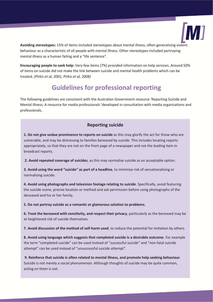

**Avoiding stereotypes:** 15% of items included stereotypes about mental illness, often generalising violent behaviour as a characteristic of all people with mental illness. Other stereotypes included portraying mental illness as a human failing and a "life sentence".

**Encouraging people to seek help:** Very few items (7%) provided information on help services. Around 50% of items on suicide did not make the link between suicide and mental health problems which can be treated. *(Pirkis et al, 2001, Pirkis et al, 2008)*

# **Guidelines for professional reporting**

The following guidelines are consistent with the Australian Government resource 'Reporting Suicide and Mental Illness: A resource for media professionals 'developed in consultation with media organisations and professionals.

### **Reporting suicide**

**1. Do not give undue prominence to reports on suicide** as this may glorify the act for those who are vulnerable, and may be distressing to families bereaved by suicide. This includes locating reports appropriately, so that they are not on the front page of a newspaper and not the leading item in broadcast reports.

**2. Avoid repeated coverage of suicides**, as this may normalise suicide as an acceptable option.

**3. Avoid using the word "suicide" as part of a headline**, to minimise risk of sensationalising or normalising suicide.

**4. Avoid using photographs and television footage relating to suicide**. Specifically, avoid featuring the suicide scene, precise location or method and ask permission before using photographs of the deceased and his or her family.

**5. Do not portray suicide as a romantic or glamorous solution to problems.** 

**6. Treat the bereaved with sensitivity, and respect their privacy**, particularly as the bereaved may be at heightened risk of suicide themselves.

**7. Avoid discussion of the method of self-harm used**, to reduce the potential for imitation by others.

**8. Avoid using language which suggests that completed suicide is a desirable outcome**. For example the term "completed suicide" can be used instead of "successful suicide" and "non-fatal suicide attempt" can be used instead of "unsuccessful suicide attempt".

 **9. Reinforce that suicide is often related to mental illness, and promote help seeking behaviour**. Suicide is not merely a social phenomenon. Although thoughts of suicide may be quite common, acting on them is not.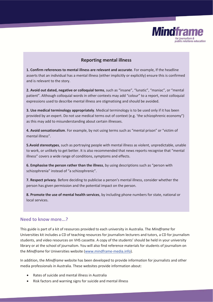

### **Reporting mental illness**

**1. Confirm references to mental illness are relevant and accurate**. For example, If the headline asserts that an individual has a mental illness (either implicitly or explicitly) ensure this is confirmed and is relevant to the story.

**2. Avoid out dated, negative or colloquial terms**, such as "insane", "lunatic", "maniac", or "mental patient". Although colloquial words in other contexts may add "colour" to a report, most colloquial expressions used to describe mental illness are stigmatising and should be avoided.

**3. Use medical terminology appropriately**. Medical terminology is to be used only if it has been provided by an expert. Do not use medical terms out of context (e.g. 'the schizophrenic economy") as this may add to misunderstanding about certain illnesses.

**4. Avoid sensationalism**. For example, by not using terms such as "mental prison" or "victim of mental illness".

**5.Avoid stereotypes**, such as portraying people with mental illness as violent, unpredictable, unable to work, or unlikely to get better. It is also recommended that news reports recognise that "mental illness" covers a wide range of conditions, symptoms and effects.

**6. Emphasise the person rather than the illness**, by using descriptions such as "person with schizophrenia" instead of "a schizophrenic".

**7. Respect privacy**. Before deciding to publicise a person's mental illness, consider whether the person has given permission and the potential impact on the person.

**8. Promote the use of mental health services**, by including phone numbers for state, national or local services.

#### **Need to know more...?**

This guide is part of a kit of resources provided to each university in Australia. The *Mindframe* for Universities kit includes a CD of teaching resources for journalism lecturers and tutors, a CD for journalism students, and video resources on VHS cassette. A copy of the students' should be held in your university library or at the school of journalism. You will also find reference materials for students of journalism on the *Mindframe* for Universities website (www.mindframe-media.info).

In addition, the *Mindframe* website has been developed to provide information for journalists and other media professionals in Australia. These websites provide information about:

- x Rates of suicide and mental illness in Australia
- x Risk factors and warning signs for suicide and mental illness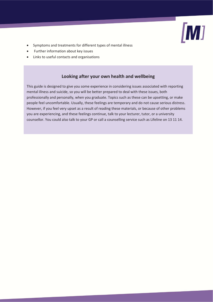

- Symptoms and treatments for different types of mental illness
- Further information about key issues
- Links to useful contacts and organisations

## **Looking after your own health and wellbeing**

This guide is designed to give you some experience in considering issues associated with reporting mental illness and suicide, so you will be better prepared to deal with these issues, both professionally and personally, when you graduate. Topics such as these can be upsetting, or make people feel uncomfortable. Usually, these feelings are temporary and do not cause serious distress. However, if you feel very upset as a result of reading these materials, or because of other problems you are experiencing, and these feelings continue, talk to your lecturer, tutor, or a university counsellor. You could also talk to your GP or call a counselling service such as Lifeline on 13 11 14.